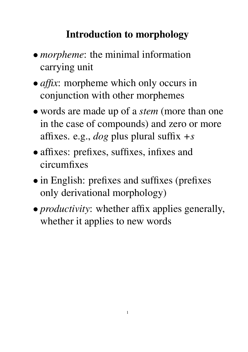# **Introduction to morphology**

- *morpheme*: the minimal information carrying unit
- *affix*: morpheme which only occurs in conjunction with other morphemes
- words are made up of a *stem* (more than one in the case of compounds) and zero or more affixes. e.g., *dog* plus plural suffix *+s*
- affixes: prefixes, suffixes, infixes and circumfixes
- in English: prefixes and suffixes (prefixes only derivational morphology)
- *productivity*: whether affix applies generally, whether it applies to new words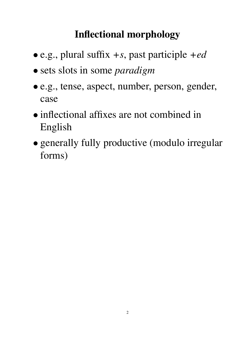# **Inflectional morphology**

- e.g., plural suffix *+s*, past participle *+ed*
- sets slots in some *paradigm*
- e.g., tense, aspect, number, person, gender, case
- inflectional affixes are not combined in English
- generally fully productive (modulo irregular forms)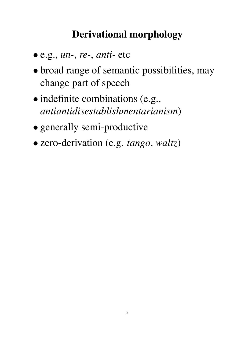## **Derivational morphology**

- e.g., *un-*, *re-*, *anti-* etc
- broad range of semantic possibilities, may change part of speech
- indefinite combinations (e.g., *antiantidisestablishmentarianism*)
- generally semi-productive
- zero-derivation (e.g. *tango*, *waltz*)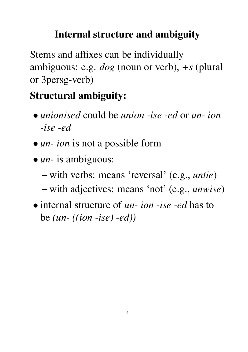# **Internal structure and ambiguity**

Stems and affixes can be individually ambiguous: e.g. *dog* (noun or verb), *+s* (plural or 3persg-verb)

# **Structural ambiguity:**

- *unionised* could be *union -ise -ed* or *un- ion -ise -ed*
- *un- ion* is not a possible form
- *un-* is ambiguous:
	- **–** with verbs: means 'reversal' (e.g., *untie*)
	- **–** with adjectives: means 'not' (e.g., *unwise*)
- internal structure of *un- ion -ise -ed* has to be *(un- ((ion -ise) -ed))*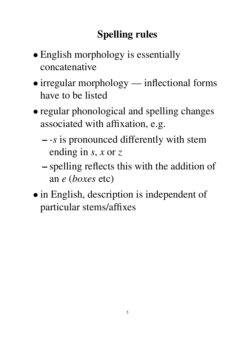# **Spelling rules**

- English morphology is essentially concatenative
- irregular morphology inflectional forms have to be listed
- regular phonological and spelling changes associated with affixation, e.g.
	- **–** *-s* is pronounced differently with stem ending in *s*, *x* or *z*
	- **–** spelling reflects this with the addition of an *e* (*boxes* etc)
- in English, description is independent of particular stems/affixes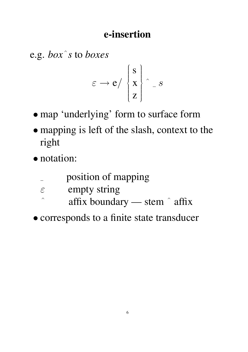#### **e-insertion**

e.g. *box*ˆ*s* to *boxes*

$$
\varepsilon \to e / \left\{ \begin{matrix} s \\ x \\ z \end{matrix} \right\} \hat{\ } - s
$$

- map 'underlying' form to surface form
- mapping is left of the slash, context to the right
- notation:
	- position of mapping  $\frac{1}{2}$
	- $\varepsilon$  empty string
	- $\hat{\ }$  affix boundary stem  $\hat{\ }$  affix
- corresponds to a finite state transducer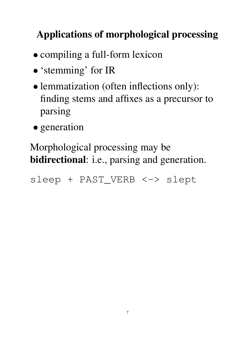# **Applications of morphological processing**

- compiling a full-form lexicon
- 'stemming' for IR
- lemmatization (often inflections only): finding stems and affixes as a precursor to parsing
- generation

Morphological processing may be **bidirectional**: i.e., parsing and generation.

sleep + PAST\_VERB <-> slept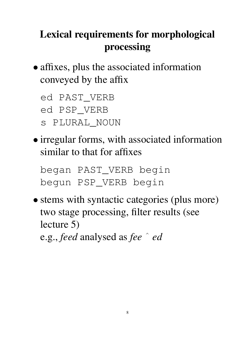# **Lexical requirements for morphological processing**

• affixes, plus the associated information conveyed by the affix

ed PAST\_VERB

ed PSP\_VERB

s PLURAL\_NOUN

• irregular forms, with associated information similar to that for affixes

began PAST\_VERB begin begun PSP\_VERB begin

• stems with syntactic categories (plus more) two stage processing, filter results (see lecture 5) e.g., *feed* analysed as *fee* ˆ *ed*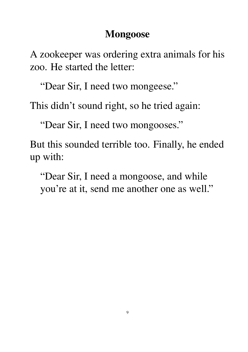#### **Mongoose**

A zookeeper was ordering extra animals for his zoo. He started the letter:

"Dear Sir, I need two mongeese."

This didn't sound right, so he tried again:

"Dear Sir, I need two mongooses."

But this sounded terrible too. Finally, he ended up with:

"Dear Sir, I need a mongoose, and while you're at it, send me another one as well."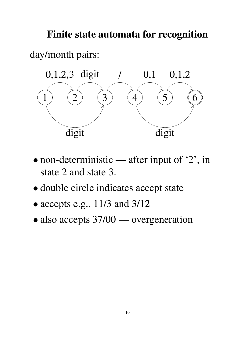**Finite state automata for recognition**

day/month pairs:



- non-deterministic after input of '2', in state 2 and state 3.
- double circle indicates accept state
- $\bullet$  accepts e.g., 11/3 and 3/12
- also accepts  $37/00$  overgeneration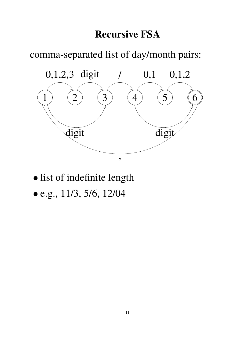#### **Recursive FSA**

comma-separated list of day/month pairs:



- list of indefinite length
- e.g., 11/3, 5/6, 12/04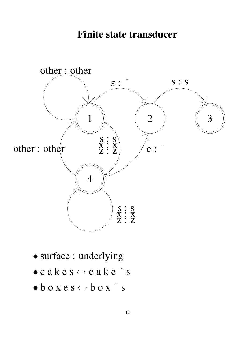#### **Finite state transducer**



- surface : underlying
- $\bullet$  c a k e s  $\leftrightarrow$  c a k e  $\hat{ }$  s
- $\bullet$  b o x e s  $\leftrightarrow$  b o x  $\hat{ }$  s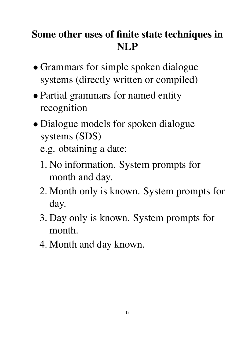# **Some other uses of finite state techniques in NLP**

- Grammars for simple spoken dialogue systems (directly written or compiled)
- Partial grammars for named entity recognition
- Dialogue models for spoken dialogue systems (SDS)
	- e.g. obtaining a date:
	- 1. No information. System prompts for month and day.
	- 2. Month only is known. System prompts for day.
	- 3. Day only is known. System prompts for month.
	- 4. Month and day known.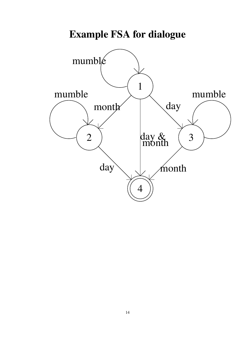

### **Example FSA for dialogue**